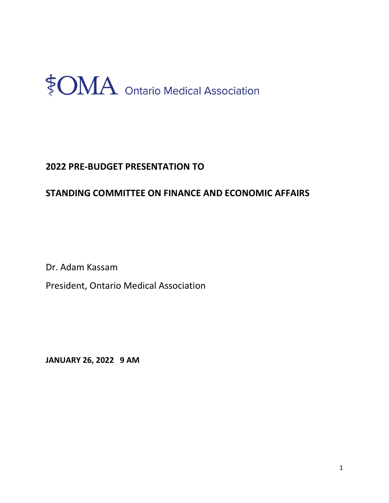

## 2022 PRE-BUDGET PRESENTATION TO

## STANDING COMMITTEE ON FINANCE AND ECONOMIC AFFAIRS

Dr. Adam Kassam

President, Ontario Medical Association

JANUARY 26, 2022 9 AM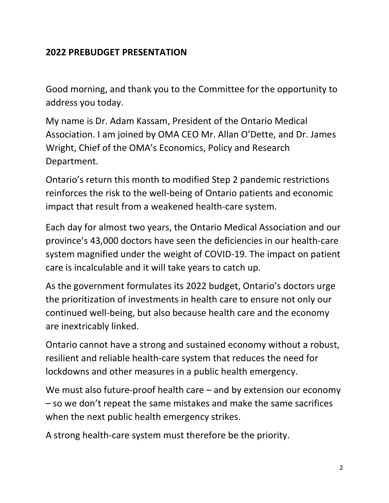## 2022 PREBUDGET PRESENTATION

 Good morning, and thank you to the Committee for the opportunity to address you today.

 My name is Dr. Adam Kassam, President of the Ontario Medical Association. I am joined by OMA CEO Mr. Allan O'Dette, and Dr. James Wright, Chief of the OMA's Economics, Policy and Research Department.

 Ontario's return this month to modified Step 2 pandemic restrictions reinforces the risk to the well-being of Ontario patients and economic impact that result from a weakened health-care system.

 Each day for almost two years, the Ontario Medical Association and our province's 43,000 doctors have seen the deficiencies in our health-care system magnified under the weight of COVID-19. The impact on patient care is incalculable and it will take years to catch up.

 As the government formulates its 2022 budget, Ontario's doctors urge the prioritization of investments in health care to ensure not only our continued well-being, but also because health care and the economy are inextricably linked.

 Ontario cannot have a strong and sustained economy without a robust, resilient and reliable health-care system that reduces the need for lockdowns and other measures in a public health emergency.

 We must also future-proof health care – and by extension our economy – so we don't repeat the same mistakes and make the same sacrifices when the next public health emergency strikes.

A strong health-care system must therefore be the priority.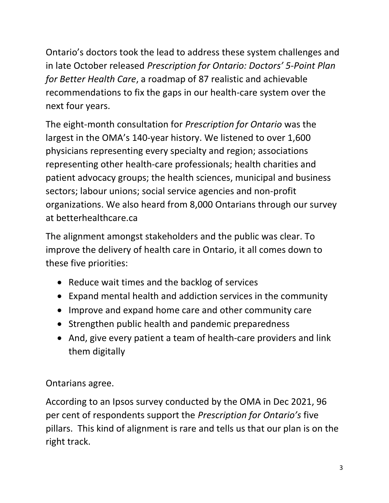Ontario's doctors took the lead to address these system challenges and in late October released Prescription for Ontario: Doctors' 5-Point Plan for Better Health Care, a roadmap of 87 realistic and achievable recommendations to fix the gaps in our health-care system over the next four years.

The eight-month consultation for Prescription for Ontario was the largest in the OMA's 140-year history. We listened to over 1,600 physicians representing every specialty and region; associations representing other health-care professionals; health charities and patient advocacy groups; the health sciences, municipal and business sectors; labour unions; social service agencies and non-profit organizations. We also heard from 8,000 Ontarians through our survey at [betterhealthcare.ca](https://betterhealthcare.ca)

 The alignment amongst stakeholders and the public was clear. To improve the delivery of health care in Ontario, it all comes down to these five priorities:

- Reduce wait times and the backlog of services
- Expand mental health and addiction services in the community
- Improve and expand home care and other community care
- Strengthen public health and pandemic preparedness
- And, give every patient a team of health-care providers and link them digitally

Ontarians agree.

 According to an Ipsos survey conducted by the OMA in Dec 2021, 96 per cent of respondents support the Prescription for Ontario's five pillars. This kind of alignment is rare and tells us that our plan is on the right track.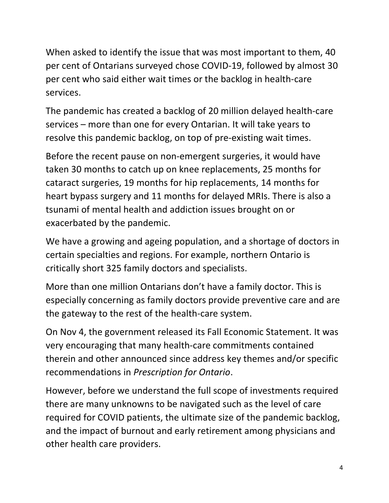When asked to identify the issue that was most important to them, 40 per cent of Ontarians surveyed chose COVID-19, followed by almost 30 per cent who said either wait times or the backlog in health-care services.

 The pandemic has created a backlog of 20 million delayed health-care services – more than one for every Ontarian. It will take years to resolve this pandemic backlog, on top of pre-existing wait times.

 Before the recent pause on non-emergent surgeries, it would have taken 30 months to catch up on knee replacements, 25 months for cataract surgeries, 19 months for hip replacements, 14 months for heart bypass surgery and 11 months for delayed MRIs. There is also a tsunami of mental health and addiction issues brought on or exacerbated by the pandemic.

 We have a growing and ageing population, and a shortage of doctors in certain specialties and regions. For example, northern Ontario is critically short 325 family doctors and specialists.

 More than one million Ontarians don't have a family doctor. This is especially concerning as family doctors provide preventive care and are the gateway to the rest of the health-care system.

 On Nov 4, the government released its Fall Economic Statement. It was very encouraging that many health-care commitments contained therein and other announced since address key themes and/or specific recommendations in Prescription for Ontario.

 However, before we understand the full scope of investments required there are many unknowns to be navigated such as the level of care required for COVID patients, the ultimate size of the pandemic backlog, and the impact of burnout and early retirement among physicians and other health care providers.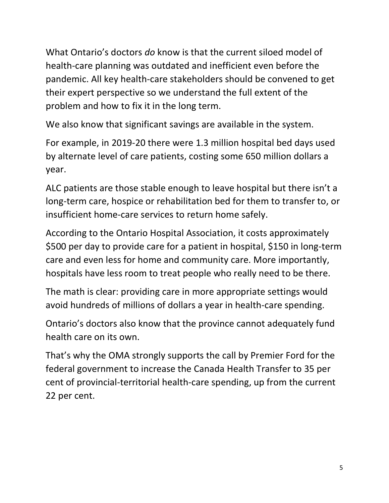What Ontario's doctors do know is that the current siloed model of health-care planning was outdated and inefficient even before the pandemic. All key health-care stakeholders should be convened to get their expert perspective so we understand the full extent of the problem and how to fix it in the long term.

We also know that significant savings are available in the system.

 For example, in 2019-20 there were 1.3 million hospital bed days used by alternate level of care patients, costing some 650 million dollars a year.

 ALC patients are those stable enough to leave hospital but there isn't a long-term care, hospice or rehabilitation bed for them to transfer to, or insufficient home-care services to return home safely.

 According to the Ontario Hospital Association, it costs approximately \$500 per day to provide care for a patient in hospital, \$150 in long-term care and even less for home and community care. More importantly, hospitals have less room to treat people who really need to be there.

 The math is clear: providing care in more appropriate settings would avoid hundreds of millions of dollars a year in health-care spending.

 Ontario's doctors also know that the province cannot adequately fund health care on its own.

 That's why the OMA strongly supports the call by Premier Ford for the federal government to increase the Canada Health Transfer to 35 per cent of provincial-territorial health-care spending, up from the current 22 per cent.